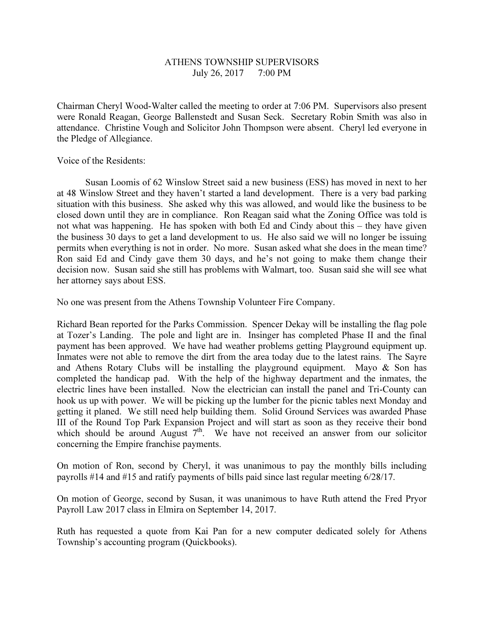## ATHENS TOWNSHIP SUPERVISORS July 26, 2017 7:00 PM

Chairman Cheryl Wood-Walter called the meeting to order at 7:06 PM. Supervisors also present were Ronald Reagan, George Ballenstedt and Susan Seck. Secretary Robin Smith was also in attendance. Christine Vough and Solicitor John Thompson were absent. Cheryl led everyone in the Pledge of Allegiance.

Voice of the Residents:

 Susan Loomis of 62 Winslow Street said a new business (ESS) has moved in next to her at 48 Winslow Street and they haven't started a land development. There is a very bad parking situation with this business. She asked why this was allowed, and would like the business to be closed down until they are in compliance. Ron Reagan said what the Zoning Office was told is not what was happening. He has spoken with both Ed and Cindy about this – they have given the business 30 days to get a land development to us. He also said we will no longer be issuing permits when everything is not in order. No more. Susan asked what she does in the mean time? Ron said Ed and Cindy gave them 30 days, and he's not going to make them change their decision now. Susan said she still has problems with Walmart, too. Susan said she will see what her attorney says about ESS.

No one was present from the Athens Township Volunteer Fire Company.

Richard Bean reported for the Parks Commission. Spencer Dekay will be installing the flag pole at Tozer's Landing. The pole and light are in. Insinger has completed Phase II and the final payment has been approved. We have had weather problems getting Playground equipment up. Inmates were not able to remove the dirt from the area today due to the latest rains. The Sayre and Athens Rotary Clubs will be installing the playground equipment. Mayo & Son has completed the handicap pad. With the help of the highway department and the inmates, the electric lines have been installed. Now the electrician can install the panel and Tri-County can hook us up with power. We will be picking up the lumber for the picnic tables next Monday and getting it planed. We still need help building them. Solid Ground Services was awarded Phase III of the Round Top Park Expansion Project and will start as soon as they receive their bond which should be around August  $7<sup>th</sup>$ . We have not received an answer from our solicitor concerning the Empire franchise payments.

On motion of Ron, second by Cheryl, it was unanimous to pay the monthly bills including payrolls #14 and #15 and ratify payments of bills paid since last regular meeting 6/28/17.

On motion of George, second by Susan, it was unanimous to have Ruth attend the Fred Pryor Payroll Law 2017 class in Elmira on September 14, 2017.

Ruth has requested a quote from Kai Pan for a new computer dedicated solely for Athens Township's accounting program (Quickbooks).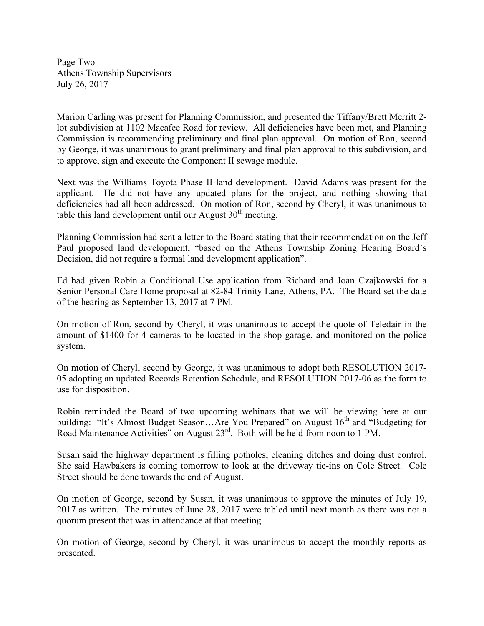Page Two Athens Township Supervisors July 26, 2017

Marion Carling was present for Planning Commission, and presented the Tiffany/Brett Merritt 2 lot subdivision at 1102 Macafee Road for review. All deficiencies have been met, and Planning Commission is recommending preliminary and final plan approval. On motion of Ron, second by George, it was unanimous to grant preliminary and final plan approval to this subdivision, and to approve, sign and execute the Component II sewage module.

Next was the Williams Toyota Phase II land development. David Adams was present for the applicant. He did not have any updated plans for the project, and nothing showing that deficiencies had all been addressed. On motion of Ron, second by Cheryl, it was unanimous to table this land development until our August  $30<sup>th</sup>$  meeting.

Planning Commission had sent a letter to the Board stating that their recommendation on the Jeff Paul proposed land development, "based on the Athens Township Zoning Hearing Board's Decision, did not require a formal land development application".

Ed had given Robin a Conditional Use application from Richard and Joan Czajkowski for a Senior Personal Care Home proposal at 82-84 Trinity Lane, Athens, PA. The Board set the date of the hearing as September 13, 2017 at 7 PM.

On motion of Ron, second by Cheryl, it was unanimous to accept the quote of Teledair in the amount of \$1400 for 4 cameras to be located in the shop garage, and monitored on the police system.

On motion of Cheryl, second by George, it was unanimous to adopt both RESOLUTION 2017- 05 adopting an updated Records Retention Schedule, and RESOLUTION 2017-06 as the form to use for disposition.

Robin reminded the Board of two upcoming webinars that we will be viewing here at our building: "It's Almost Budget Season...Are You Prepared" on August 16<sup>th</sup> and "Budgeting for Road Maintenance Activities" on August 23rd. Both will be held from noon to 1 PM.

Susan said the highway department is filling potholes, cleaning ditches and doing dust control. She said Hawbakers is coming tomorrow to look at the driveway tie-ins on Cole Street. Cole Street should be done towards the end of August.

On motion of George, second by Susan, it was unanimous to approve the minutes of July 19, 2017 as written. The minutes of June 28, 2017 were tabled until next month as there was not a quorum present that was in attendance at that meeting.

On motion of George, second by Cheryl, it was unanimous to accept the monthly reports as presented.